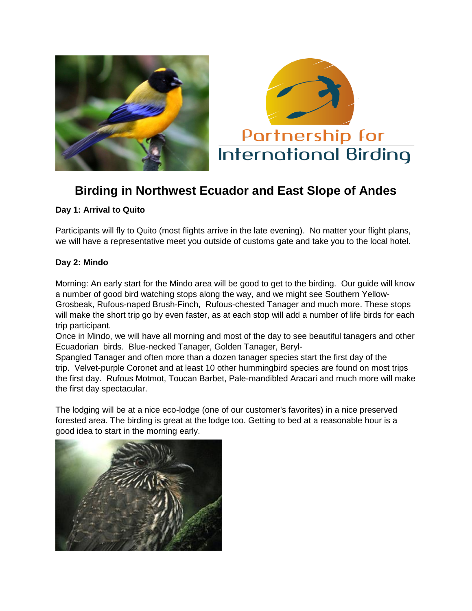



# **Birding in Northwest Ecuador and East Slope of Andes**

# **Day 1: Arrival to Quito**

Participants will fly to Quito (most flights arrive in the late evening). No matter your flight plans, we will have a representative meet you outside of customs gate and take you to the local hotel.

# **Day 2: Mindo**

Morning: An early start for the Mindo area will be good to get to the birding. Our guide will know a number of good bird watching stops along the way, and we might see Southern Yellow-Grosbeak, Rufous-naped Brush-Finch, Rufous-chested Tanager and much more. These stops will make the short trip go by even faster, as at each stop will add a number of life birds for each trip participant.

Once in Mindo, we will have all morning and most of the day to see beautiful tanagers and other Ecuadorian birds. Blue-necked Tanager, Golden Tanager, Beryl-

Spangled Tanager and often more than a dozen tanager species start the first day of the trip. Velvet-purple Coronet and at least 10 other hummingbird species are found on most trips the first day. Rufous Motmot, Toucan Barbet, Pale-mandibled Aracari and much more will make the first day spectacular.

The lodging will be at a nice eco-lodge (one of our customer's favorites) in a nice preserved forested area. The birding is great at the lodge too. Getting to bed at a reasonable hour is a good idea to start in the morning early.

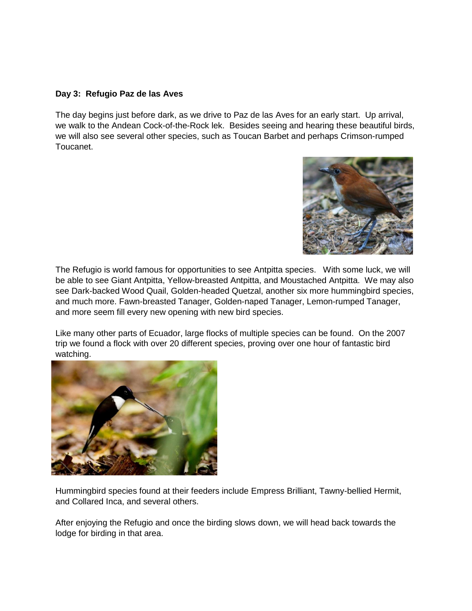## **Day 3: Refugio Paz de las Aves**

The day begins just before dark, as we drive to Paz de las Aves for an early start. Up arrival, we walk to the Andean Cock-of-the-Rock lek. Besides seeing and hearing these beautiful birds, we will also see several other species, such as Toucan Barbet and perhaps Crimson-rumped Toucanet.



The Refugio is world famous for opportunities to see Antpitta species. With some luck, we will be able to see Giant Antpitta, Yellow-breasted Antpitta, and Moustached Antpitta. We may also see Dark-backed Wood Quail, Golden-headed Quetzal, another six more hummingbird species, and much more. Fawn-breasted Tanager, Golden-naped Tanager, Lemon-rumped Tanager, and more seem fill every new opening with new bird species.

Like many other parts of Ecuador, large flocks of multiple species can be found. On the 2007 trip we found a flock with over 20 different species, proving over one hour of fantastic bird watching.



Hummingbird species found at their feeders include Empress Brilliant, Tawny-bellied Hermit, and Collared Inca, and several others.

After enjoying the Refugio and once the birding slows down, we will head back towards the lodge for birding in that area.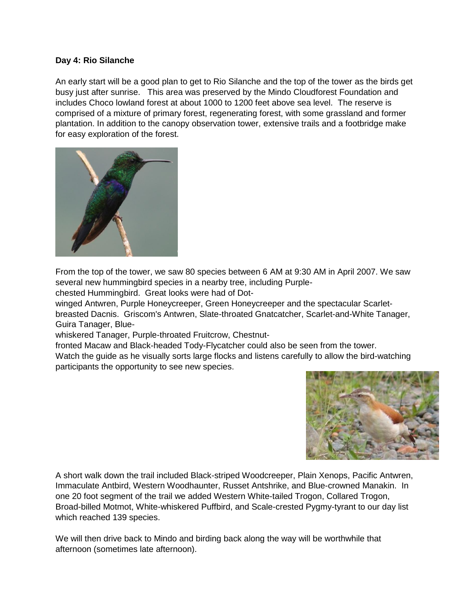## **Day 4: Rio Silanche**

An early start will be a good plan to get to Rio Silanche and the top of the tower as the birds get busy just after sunrise. This area was preserved by the Mindo Cloudforest Foundation and includes Choco lowland forest at about 1000 to 1200 feet above sea level. The reserve is comprised of a mixture of primary forest, regenerating forest, with some grassland and former plantation. In addition to the canopy observation tower, extensive trails and a footbridge make for easy exploration of the forest.



From the top of the tower, we saw 80 species between 6 AM at 9:30 AM in April 2007. We saw several new hummingbird species in a nearby tree, including Purple-

chested Hummingbird. Great looks were had of Dot-

winged Antwren, Purple Honeycreeper, Green Honeycreeper and the spectacular Scarletbreasted Dacnis. Griscom's Antwren, Slate-throated Gnatcatcher, Scarlet-and-White Tanager, Guira Tanager, Blue-

whiskered Tanager, Purple-throated Fruitcrow, Chestnut-

fronted Macaw and Black-headed Tody-Flycatcher could also be seen from the tower.

Watch the guide as he visually sorts large flocks and listens carefully to allow the bird-watching participants the opportunity to see new species.



A short walk down the trail included Black-striped Woodcreeper, Plain Xenops, Pacific Antwren, Immaculate Antbird, Western Woodhaunter, Russet Antshrike, and Blue-crowned Manakin. In one 20 foot segment of the trail we added Western White-tailed Trogon, Collared Trogon, Broad-billed Motmot, White-whiskered Puffbird, and Scale-crested Pygmy-tyrant to our day list which reached 139 species.

We will then drive back to Mindo and birding back along the way will be worthwhile that afternoon (sometimes late afternoon).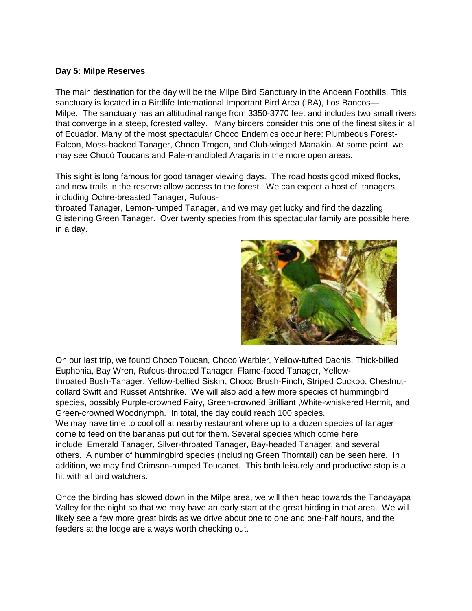#### **Day 5: Milpe Reserves**

The main destination for the day will be the Milpe Bird Sanctuary in the Andean Foothills. This sanctuary is located in a Birdlife International Important Bird Area (IBA), Los Bancos— Milpe. The sanctuary has an altitudinal range from 3350-3770 feet and includes two small rivers that converge in a steep, forested valley. Many birders consider this one of the finest sites in all of Ecuador. Many of the most spectacular Choco Endemics occur here: Plumbeous Forest-Falcon, Moss-backed Tanager, Choco Trogon, and Club-winged Manakin. At some point, we may see Chocó Toucans and Pale-mandibled Araçaris in the more open areas.

This sight is long famous for good tanager viewing days. The road hosts good mixed flocks, and new trails in the reserve allow access to the forest. We can expect a host of tanagers, including Ochre-breasted Tanager, Rufous-

throated Tanager, Lemon-rumped Tanager, and we may get lucky and find the dazzling Glistening Green Tanager. Over twenty species from this spectacular family are possible here in a day.



On our last trip, we found Choco Toucan, Choco Warbler, Yellow-tufted Dacnis, Thick-billed Euphonia, Bay Wren, Rufous-throated Tanager, Flame-faced Tanager, Yellowthroated Bush-Tanager, Yellow-bellied Siskin, Choco Brush-Finch, Striped Cuckoo, Chestnutcollard Swift and Russet Antshrike. We will also add a few more species of hummingbird species, possibly Purple-crowned Fairy, Green-crowned Brilliant ,White-whiskered Hermit, and Green-crowned Woodnymph. In total, the day could reach 100 species. We may have time to cool off at nearby restaurant where up to a dozen species of tanager

come to feed on the bananas put out for them. Several species which come here include Emerald Tanager, Silver-throated Tanager, Bay-headed Tanager, and several others. A number of hummingbird species (including Green Thorntail) can be seen here. In addition, we may find Crimson-rumped Toucanet. This both leisurely and productive stop is a hit with all bird watchers.

Once the birding has slowed down in the Milpe area, we will then head towards the Tandayapa Valley for the night so that we may have an early start at the great birding in that area. We will likely see a few more great birds as we drive about one to one and one-half hours, and the feeders at the lodge are always worth checking out.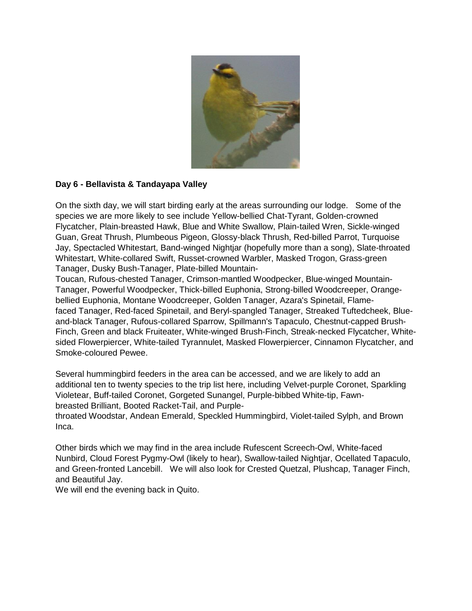

# **Day 6 - Bellavista & Tandayapa Valley**

On the sixth day, we will start birding early at the areas surrounding our lodge. Some of the species we are more likely to see include Yellow-bellied Chat-Tyrant, Golden-crowned Flycatcher, Plain-breasted Hawk, Blue and White Swallow, Plain-tailed Wren, Sickle-winged Guan, Great Thrush, Plumbeous Pigeon, Glossy-black Thrush, Red-billed Parrot, Turquoise Jay, Spectacled Whitestart, Band-winged Nightjar (hopefully more than a song), Slate-throated Whitestart, White-collared Swift, Russet-crowned Warbler, Masked Trogon, Grass-green Tanager, Dusky Bush-Tanager, Plate-billed Mountain-

Toucan, Rufous-chested Tanager, Crimson-mantled Woodpecker, Blue-winged Mountain-Tanager, Powerful Woodpecker, Thick-billed Euphonia, Strong-billed Woodcreeper, Orangebellied Euphonia, Montane Woodcreeper, Golden Tanager, Azara's Spinetail, Flamefaced Tanager, Red-faced Spinetail, and Beryl-spangled Tanager, Streaked Tuftedcheek, Blueand-black Tanager, Rufous-collared Sparrow, Spillmann's Tapaculo, Chestnut-capped Brush-Finch, Green and black Fruiteater, White-winged Brush-Finch, Streak-necked Flycatcher, Whitesided Flowerpiercer, White-tailed Tyrannulet, Masked Flowerpiercer, Cinnamon Flycatcher, and Smoke-coloured Pewee.

Several hummingbird feeders in the area can be accessed, and we are likely to add an additional ten to twenty species to the trip list here, including Velvet-purple Coronet, Sparkling Violetear, Buff-tailed Coronet, Gorgeted Sunangel, Purple-bibbed White-tip, Fawnbreasted Brilliant, Booted Racket-Tail, and Purple-

throated Woodstar, Andean Emerald, Speckled Hummingbird, Violet-tailed Sylph, and Brown Inca.

Other birds which we may find in the area include Rufescent Screech-Owl, White-faced Nunbird, Cloud Forest Pygmy-Owl (likely to hear), Swallow-tailed Nightjar, Ocellated Tapaculo, and Green-fronted Lancebill. We will also look for Crested Quetzal, Plushcap, Tanager Finch, and Beautiful Jay.

We will end the evening back in Quito.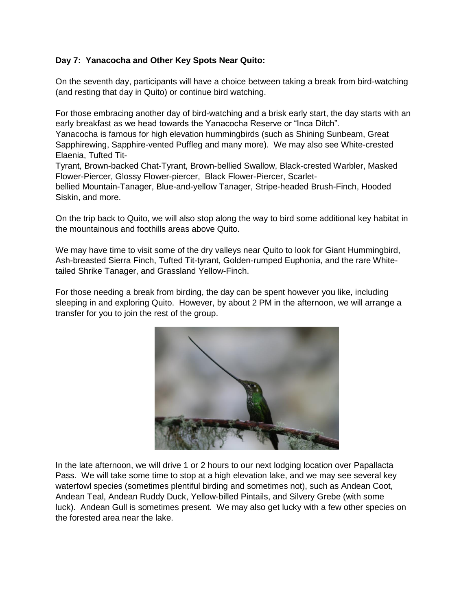# **Day 7: Yanacocha and Other Key Spots Near Quito:**

On the seventh day, participants will have a choice between taking a break from bird-watching (and resting that day in Quito) or continue bird watching.

For those embracing another day of bird-watching and a brisk early start, the day starts with an early breakfast as we head towards the Yanacocha Reserve or "Inca Ditch".

Yanacocha is famous for high elevation hummingbirds (such as Shining Sunbeam, Great Sapphirewing, Sapphire-vented Puffleg and many more). We may also see White-crested Elaenia, Tufted Tit-

Tyrant, Brown-backed Chat-Tyrant, Brown-bellied Swallow, Black-crested Warbler, Masked Flower-Piercer, Glossy Flower-piercer, Black Flower-Piercer, Scarlet-

bellied Mountain-Tanager, Blue-and-yellow Tanager, Stripe-headed Brush-Finch, Hooded Siskin, and more.

On the trip back to Quito, we will also stop along the way to bird some additional key habitat in the mountainous and foothills areas above Quito.

We may have time to visit some of the dry valleys near Quito to look for Giant Hummingbird, Ash-breasted Sierra Finch, Tufted Tit-tyrant, Golden-rumped Euphonia, and the rare Whitetailed Shrike Tanager, and Grassland Yellow-Finch.

For those needing a break from birding, the day can be spent however you like, including sleeping in and exploring Quito. However, by about 2 PM in the afternoon, we will arrange a transfer for you to join the rest of the group.



In the late afternoon, we will drive 1 or 2 hours to our next lodging location over Papallacta Pass. We will take some time to stop at a high elevation lake, and we may see several key waterfowl species (sometimes plentiful birding and sometimes not), such as Andean Coot, Andean Teal, Andean Ruddy Duck, Yellow-billed Pintails, and Silvery Grebe (with some luck). Andean Gull is sometimes present. We may also get lucky with a few other species on the forested area near the lake.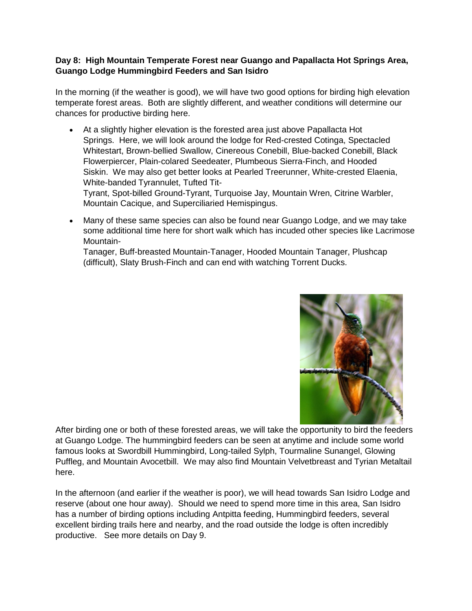# **Day 8: High Mountain Temperate Forest near Guango and Papallacta Hot Springs Area, Guango Lodge Hummingbird Feeders and San Isidro**

In the morning (if the weather is good), we will have two good options for birding high elevation temperate forest areas. Both are slightly different, and weather conditions will determine our chances for productive birding here.

 At a slightly higher elevation is the forested area just above Papallacta Hot Springs. Here, we will look around the lodge for Red-crested Cotinga, Spectacled Whitestart, Brown-bellied Swallow, Cinereous Conebill, Blue-backed Conebill, Black Flowerpiercer, Plain-colared Seedeater, Plumbeous Sierra-Finch, and Hooded Siskin. We may also get better looks at Pearled Treerunner, White-crested Elaenia, White-banded Tyrannulet, Tufted Tit-

Tyrant, Spot-billed Ground-Tyrant, Turquoise Jay, Mountain Wren, Citrine Warbler, Mountain Cacique, and Superciliaried Hemispingus.

 Many of these same species can also be found near Guango Lodge, and we may take some additional time here for short walk which has incuded other species like Lacrimose Mountain-

Tanager, Buff-breasted Mountain-Tanager, Hooded Mountain Tanager, Plushcap (difficult), Slaty Brush-Finch and can end with watching Torrent Ducks.



After birding one or both of these forested areas, we will take the opportunity to bird the feeders at Guango Lodge. The hummingbird feeders can be seen at anytime and include some world famous looks at Swordbill Hummingbird, Long-tailed Sylph, Tourmaline Sunangel, Glowing Puffleg, and Mountain Avocetbill. We may also find Mountain Velvetbreast and Tyrian Metaltail here.

In the afternoon (and earlier if the weather is poor), we will head towards San Isidro Lodge and reserve (about one hour away). Should we need to spend more time in this area, San Isidro has a number of birding options including Antpitta feeding, Hummingbird feeders, several excellent birding trails here and nearby, and the road outside the lodge is often incredibly productive. See more details on Day 9.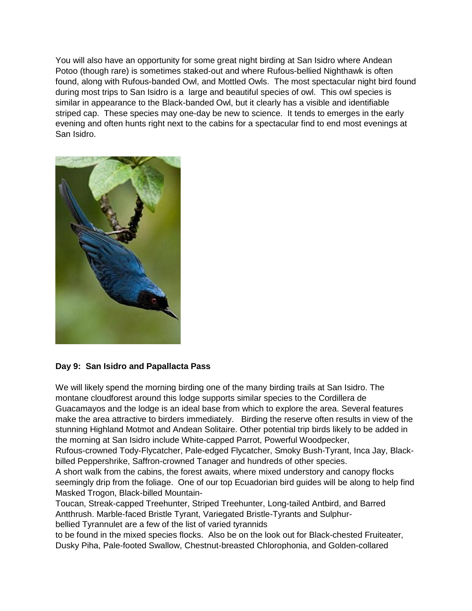You will also have an opportunity for some great night birding at San Isidro where Andean Potoo (though rare) is sometimes staked-out and where Rufous-bellied Nighthawk is often found, along with Rufous-banded Owl, and Mottled Owls. The most spectacular night bird found during most trips to San Isidro is a large and beautiful species of owl. This owl species is similar in appearance to the Black-banded Owl, but it clearly has a visible and identifiable striped cap. These species may one-day be new to science. It tends to emerges in the early evening and often hunts right next to the cabins for a spectacular find to end most evenings at San Isidro.



## **Day 9: San Isidro and Papallacta Pass**

We will likely spend the morning birding one of the many birding trails at San Isidro. The montane cloudforest around this lodge supports similar species to the Cordillera de Guacamayos and the lodge is an ideal base from which to explore the area. Several features make the area attractive to birders immediately. Birding the reserve often results in view of the stunning Highland Motmot and Andean Solitaire. Other potential trip birds likely to be added in the morning at San Isidro include White-capped Parrot, Powerful Woodpecker,

Rufous-crowned Tody-Flycatcher, Pale-edged Flycatcher, Smoky Bush-Tyrant, Inca Jay, Blackbilled Peppershrike, Saffron-crowned Tanager and hundreds of other species.

A short walk from the cabins, the forest awaits, where mixed understory and canopy flocks seemingly drip from the foliage. One of our top Ecuadorian bird guides will be along to help find Masked Trogon, Black-billed Mountain-

Toucan, Streak-capped Treehunter, Striped Treehunter, Long-tailed Antbird, and Barred Antthrush. Marble-faced Bristle Tyrant, Variegated Bristle-Tyrants and Sulphurbellied Tyrannulet are a few of the list of varied tyrannids

to be found in the mixed species flocks. Also be on the look out for Black-chested Fruiteater, Dusky Piha, Pale-footed Swallow, Chestnut-breasted Chlorophonia, and Golden-collared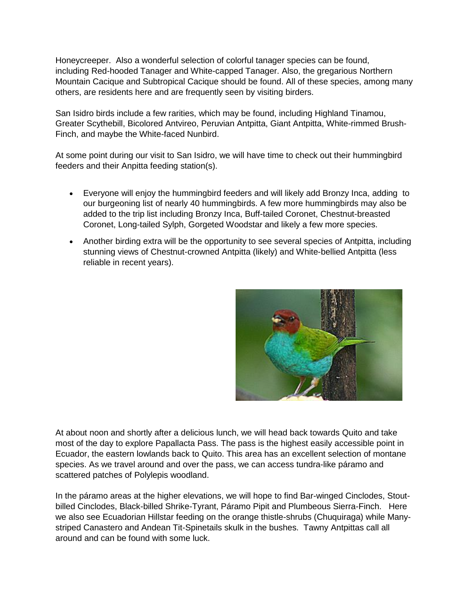Honeycreeper. Also a wonderful selection of colorful tanager species can be found, including Red-hooded Tanager and White-capped Tanager. Also, the gregarious Northern Mountain Cacique and Subtropical Cacique should be found. All of these species, among many others, are residents here and are frequently seen by visiting birders.

San Isidro birds include a few rarities, which may be found, including Highland Tinamou, Greater Scythebill, Bicolored Antvireo, Peruvian Antpitta, Giant Antpitta, White-rimmed Brush-Finch, and maybe the White-faced Nunbird.

At some point during our visit to San Isidro, we will have time to check out their hummingbird feeders and their Anpitta feeding station(s).

- Everyone will enjoy the hummingbird feeders and will likely add Bronzy Inca, adding to our burgeoning list of nearly 40 hummingbirds. A few more hummingbirds may also be added to the trip list including Bronzy Inca, Buff-tailed Coronet, Chestnut-breasted Coronet, Long-tailed Sylph, Gorgeted Woodstar and likely a few more species.
- Another birding extra will be the opportunity to see several species of Antpitta, including stunning views of Chestnut-crowned Antpitta (likely) and White-bellied Antpitta (less reliable in recent years).



At about noon and shortly after a delicious lunch, we will head back towards Quito and take most of the day to explore Papallacta Pass. The pass is the highest easily accessible point in Ecuador, the eastern lowlands back to Quito. This area has an excellent selection of montane species. As we travel around and over the pass, we can access tundra-like páramo and scattered patches of Polylepis woodland.

In the páramo areas at the higher elevations, we will hope to find Bar-winged Cinclodes, Stoutbilled Cinclodes, Black-billed Shrike-Tyrant, Páramo Pipit and Plumbeous Sierra-Finch. Here we also see Ecuadorian Hillstar feeding on the orange thistle-shrubs (Chuquiraga) while Manystriped Canastero and Andean Tit-Spinetails skulk in the bushes. Tawny Antpittas call all around and can be found with some luck.